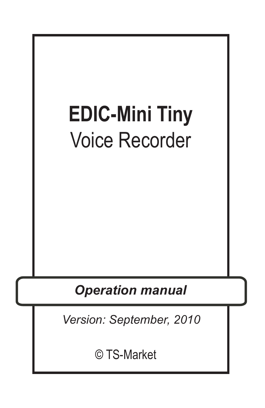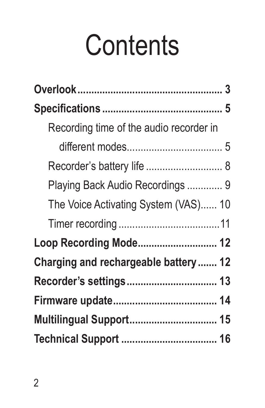# **Contents**

| Recording time of the audio recorder in |
|-----------------------------------------|
|                                         |
| Recorder's battery life  8              |
| Playing Back Audio Recordings  9        |
| The Voice Activating System (VAS) 10    |
|                                         |
| Loop Recording Mode 12                  |
| Charging and rechargeable battery  12   |
|                                         |
|                                         |
| Multilingual Support 15                 |
|                                         |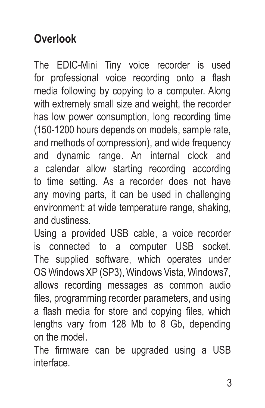## **Overlook**

The EDIC-Mini Tiny voice recorder is used for professional voice recording onto a flash media following by copying to a computer. Along with extremely small size and weight, the recorder has low power consumption, long recording time (150-1200 hours depends on models, sample rate, and methods of compression), and wide frequency and dynamic range. An internal clock and a calendar allow starting recording according to time setting. As a recorder does not have any moving parts, it can be used in challenging environment: at wide temperature range, shaking, and dustiness.

Using a provided USB cable, a voice recorder is connected to a computer USB socket. The supplied software, which operates under OS Windows XP (SP3), Windows Vista, Windows7, allows recording messages as common audio files, programming recorder parameters, and using a flash media for store and copying files, which lengths vary from 128 Mb to 8 Gb, depending on the model.

The firmware can be upgraded using a USB interface.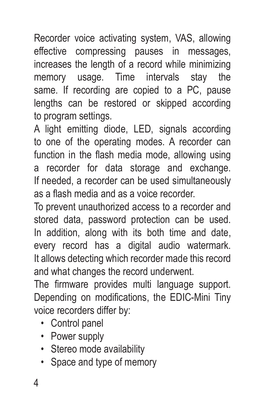Recorder voice activating system, VAS, allowing effective compressing pauses in messages, increases the length of a record while minimizing memory usage. Time intervals stay the same. If recording are copied to a PC, pause lengths can be restored or skipped according to program settings.

A light emitting diode, LED, signals according to one of the operating modes. A recorder can function in the flash media mode, allowing using a recorder for data storage and exchange. If needed, a recorder can be used simultaneously as a flash media and as a voice recorder.

To prevent unauthorized access to a recorder and stored data, password protection can be used. In addition, along with its both time and date, every record has a digital audio watermark. It allows detecting which recorder made this record and what changes the record underwent.

The firmware provides multi language support. Depending on modifications, the EDIC-Mini Tiny voice recorders differ by:

- Control panel
- Power supply
- Stereo mode availability
- Space and type of memory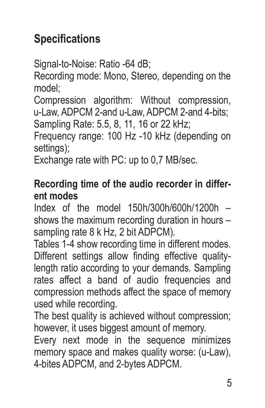## **Specifications**

Signal-to-Noise: Ratio -64 dB;

Recording mode: Mono, Stereo, depending on the model;

Compression algorithm: Without compression, u-Law, ADPCM 2-and u-Law, ADPCM 2-and 4-bits; Sampling Rate: 5.5, 8, 11, 16 or 22 kHz;

Frequency range: 100 Hz -10 kHz (depending on settings);

Exchange rate with PC: up to 0,7 MB/sec.

#### **Recording time of the audio recorder in different modes**

Index of the model 150h/300h/600h/1200h – shows the maximum recording duration in hours – sampling rate 8 k Hz, 2 bit ADPCM).

Tables 1-4 show recording time in different modes. Different settings allow finding effective qualitylength ratio according to your demands. Sampling rates affect a band of audio frequencies and compression methods affect the space of memory used while recording.

The best quality is achieved without compression; however, it uses biggest amount of memory.

Every next mode in the sequence minimizes memory space and makes quality worse: (u-Law), 4-bites ADPCM, and 2-bytes ADPCM.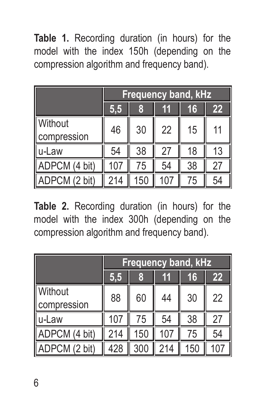**Table 1.** Recording duration (in hours) for the model with the index 150h (depending on the compression algorithm and frequency band).

|                        |     | <b>Frequency band, kHz</b> |     |    |    |
|------------------------|-----|----------------------------|-----|----|----|
|                        | 5,5 | 8                          | 11  | 16 | 22 |
| Without<br>compression | 46  | 30                         | 22  | 15 | 11 |
| lu-Law                 | 54  | 38                         | 27  | 18 | 13 |
| ADPCM (4 bit)          | 107 | 75                         | 54  | 38 | 27 |
| ADPCM (2 bit)          | 214 | 150                        | 107 | 75 | 54 |

**Table 2.** Recording duration (in hours) for the model with the index 300h (depending on the compression algorithm and frequency band).

|                        |     |     |     | <b>Frequency band, kHz</b> |                 |
|------------------------|-----|-----|-----|----------------------------|-----------------|
|                        | 5,5 | 8   | 11  | 16                         | 22              |
| Without<br>compression | 88  | 60  | 44  | 30                         | 22              |
| u-Law                  | 107 | 75  | 54  | 38                         | 27              |
| ADPCM (4 bit)          | 214 | 150 | 107 | 75                         | 54              |
| ADPCM (2 bit)          | 428 | 300 | 214 | 150                        | 10 <sup>7</sup> |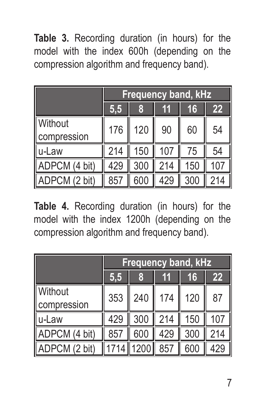**Table 3.** Recording duration (in hours) for the model with the index 600h (depending on the compression algorithm and frequency band).

|                        |     | <b>Frequency band, kHz</b> |     |     |     |
|------------------------|-----|----------------------------|-----|-----|-----|
|                        | 5,5 | 8                          | 11  | 16  | 22  |
| Without<br>compression | 176 | 120                        | 90  | 60  | 54  |
| llu-Law                | 214 | 150                        | 107 | 75  | 54  |
| ADPCM (4 bit)          | 429 | 300                        | 214 | 150 | 107 |
| ADPCM (2 bit)          | 857 | 600                        | 429 | 300 |     |

**Table 4.** Recording duration (in hours) for the model with the index 1200h (depending on the compression algorithm and frequency band).

|                        |     | <b>Frequency band, kHz</b> |     |     |     |
|------------------------|-----|----------------------------|-----|-----|-----|
|                        | 5,5 | 8                          | 11  | 16  | 22  |
| Without<br>compression | 353 | 240                        | 174 | 120 | 87  |
| u-Law                  | 429 | 300                        | 214 | 150 | 107 |
| ADPCM (4 bit)          | 857 | 600                        | 429 | 300 | 214 |
| ADPCM (2 bit)          |     | 1200                       | 857 | 600 | 429 |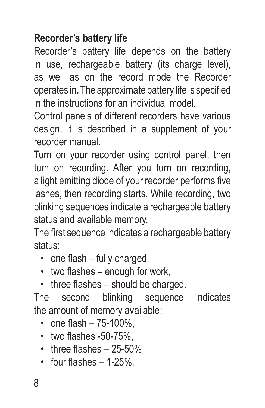#### **Recorder's battery life**

Recorder's battery life depends on the battery in use, rechargeable battery (its charge level). as well as on the record mode the Recorder operates in. The approximate battery life is specified in the instructions for an individual model.

Control panels of different recorders have various design, it is described in a supplement of your recorder manual.

Turn on your recorder using control panel, then turn on recording. After you turn on recording, a light emitting diode of your recorder performs five lashes, then recording starts. While recording, two blinking sequences indicate a rechargeable battery status and available memory.

The first sequence indicates a rechargeable battery status:

- one flash fully charged,
- two flashes enough for work,
- three flashes should be charged.

The second blinking sequence indicates the amount of memory available:

- one flash 75-100%,
- two flashes -50-75%,
- three flashes 25-50%
- $\cdot$  four flashes  $-1-25\%$ .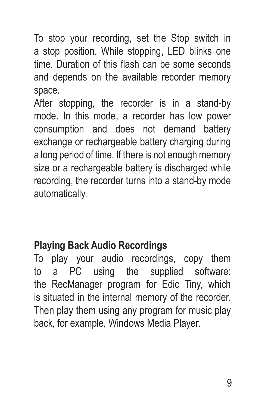To stop your recording, set the Stop switch in a stop position. While stopping, LED blinks one time. Duration of this flash can be some seconds and depends on the available recorder memory space.

After stopping, the recorder is in a stand-by mode. In this mode, a recorder has low power consumption and does not demand battery exchange or rechargeable battery charging during a long period of time. If there is not enough memory size or a rechargeable battery is discharged while recording, the recorder turns into a stand-by mode automatically.

#### **Playing Back Audio Recordings**

To play your audio recordings, copy them to a PC using the supplied software: the RecManager program for Edic Tiny, which is situated in the internal memory of the recorder. Then play them using any program for music play back, for example, Windows Media Player.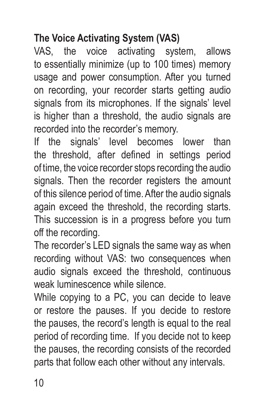### **The Voice Activating System (VAS)**

VAS, the voice activating system, allows to essentially minimize (up to 100 times) memory usage and power consumption. After you turned on recording, your recorder starts getting audio signals from its microphones. If the signals' level is higher than a threshold, the audio signals are recorded into the recorder's memory.

If the signals' level becomes lower than the threshold, after defined in settings period of time, the voice recorder stops recording the audio signals. Then the recorder registers the amount of this silence period of time. After the audio signals again exceed the threshold, the recording starts. This succession is in a progress before you turn off the recording.

The recorder's LED signals the same way as when recording without VAS: two consequences when audio signals exceed the threshold, continuous weak luminescence while silence.

While copying to a PC, you can decide to leave or restore the pauses. If you decide to restore the pauses, the record's length is equal to the real period of recording time. If you decide not to keep the pauses, the recording consists of the recorded parts that follow each other without any intervals.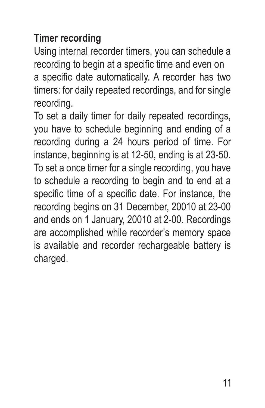#### **Timer recording**

Using internal recorder timers, you can schedule a recording to begin at a specific time and even on a specific date automatically. A recorder has two timers: for daily repeated recordings, and for single recording.

To set a daily timer for daily repeated recordings, you have to schedule beginning and ending of a recording during a 24 hours period of time. For instance, beginning is at 12-50, ending is at 23-50. To set a once timer for a single recording, you have to schedule a recording to begin and to end at a specific time of a specific date. For instance, the recording begins on 31 December, 20010 at 23-00 and ends on 1 January, 20010 at 2-00. Recordings are accomplished while recorder's memory space is available and recorder rechargeable battery is charged.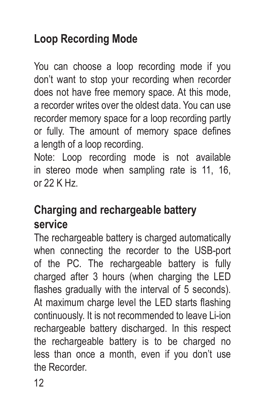## **Loop Recording Mode**

You can choose a loop recording mode if you don't want to stop your recording when recorder does not have free memory space. At this mode, a recorder writes over the oldest data. You can use recorder memory space for a loop recording partly or fully. The amount of memory space defines a length of a loop recording.

Note: Loop recording mode is not available in stereo mode when sampling rate is 11, 16, or 22 K Hz.

## **Charging and rechargeable battery service**

The rechargeable battery is charged automatically when connecting the recorder to the USB-port of the PC. The rechargeable battery is fully charged after 3 hours (when charging the LED flashes gradually with the interval of 5 seconds). At maximum charge level the LED starts flashing continuously. It is not recommended to leave Li-ion rechargeable battery discharged. In this respect the rechargeable battery is to be charged no less than once a month, even if you don't use the Recorder.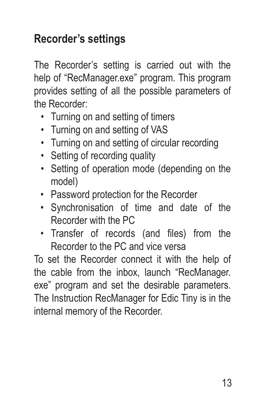## **Recorder's settings**

The Recorder's setting is carried out with the help of "RecManager.exe" program. This program provides setting of all the possible parameters of the Recorder:

- Turning on and setting of timers
- Turning on and setting of VAS
- Turning on and setting of circular recording
- Setting of recording quality
- Setting of operation mode (depending on the model)
- Password protection for the Recorder
- Synchronisation of time and date of the Recorder with the PC
- Transfer of records (and files) from the Recorder to the PC and vice versa

To set the Recorder connect it with the help of the cable from the inbox, launch "RecManager. exe" program and set the desirable parameters. The Instruction RecManager for Edic Tiny is in the internal memory of the Recorder.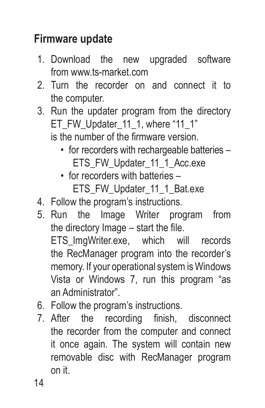## **Firmware update**

- 1. Download the new upgraded software from www.ts-market.com
- 2. Turn the recorder on and connect it to the computer.
- 3. Run the updater program from the directory ET\_FW\_Updater\_11\_1, where "11\_1" is the number of the firmware version.
	- for recorders with rechargeable batteries -FTS\_FW\_Updater\_11\_1\_Acc.exe
	- for recorders with batteries ETS\_FW\_Updater\_11\_1\_Bat.exe
- 4. Follow the program's instructions.
- 5. Run the Image Writer program from the directory Image – start the file. ETS\_ImgWriter.exe, which will records the RecManager program into the recorder's memory. If your operational system is Windows Vista or Windows 7, run this program "as an Administrator".
- 6. Follow the program's instructions.
- 7. After the recording finish, disconnect the recorder from the computer and connect it once again. The system will contain new removable disc with RecManager program on it.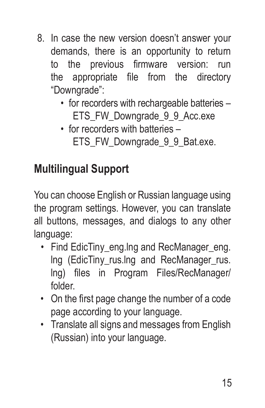- 8. In case the new version doesn't answer your demands, there is an opportunity to return to the previous firmware version: run the appropriate file from the directory "Downgrade":
	- for recorders with rechargeable batteries -ETS\_FW\_Downgrade\_9\_9\_Acc.exe
	- for recorders with batteries ETS\_FW\_Downgrade\_9\_9\_Bat.exe.

## **Multilingual Support**

You can choose English or Russian language using the program settings. However, you can translate all buttons, messages, and dialogs to any other language:

- Find EdicTiny eng. Ing and RecManager eng. Ing (EdicTiny rus.lng and RecManager rus. lng) files in Program Files/RecManager/ folder.
- On the first page change the number of a code page according to your language.
- Translate all signs and messages from English (Russian) into your language.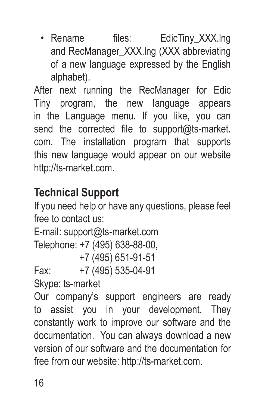• Rename files: EdicTiny XXX.lng and RecManager\_XXX.lng (XXX abbreviating of a new language expressed by the English alphabet).

After next running the RecManager for Edic Tiny program, the new language appears in the Language menu. If you like, you can send the corrected file to support@ts-market. com. The installation program that supports this new language would appear on our website http://ts-market.com.

## **Technical Support**

If you need help or have any questions, please feel free to contact us:

```
E-mail: support@ts-market.com
```

```
Telephone: +7 (495) 638-88-00,
```
+7 (495) 651-91-51

Fax: +7 (495) 535-04-91

Skype: ts-market

Our company's support engineers are ready to assist you in your development. They constantly work to improve our software and the documentation. You can always download a new version of our software and the documentation for free from our website: http://ts-market.com.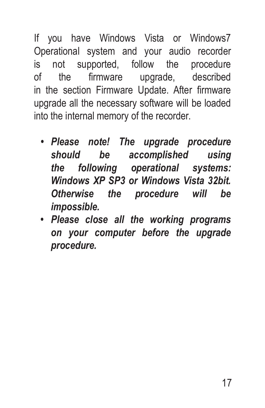If you have Windows Vista or Windows7 Operational system and your audio recorder is not supported, follow the procedure of the firmware upgrade, described in the section Firmware Update. After firmware upgrade all the necessary software will be loaded into the internal memory of the recorder.

- *• Please note! The upgrade procedure should be accomplished using the following operational systems: Windows XP SP3 or Windows Vista 32bit. Otherwise the procedure will be impossible.*
- *• Please close all the working programs on your computer before the upgrade procedure.*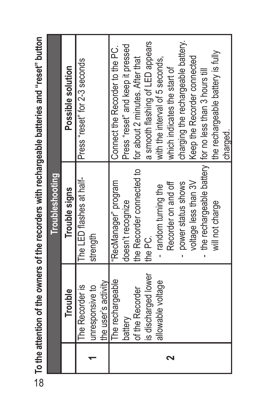|                     | <b>Troubleshooting</b>    |                                                          |
|---------------------|---------------------------|----------------------------------------------------------|
| Trouble             | Trouble signs             | Possible solution                                        |
| The Recorder is     | The LED flashes at half-  | Press "reset" for 2-3 seconds                            |
| unresponsive to     | strength                  |                                                          |
| the user's activity |                           |                                                          |
| The rechargeable    | "RecManager" program      | Connect the Recorder to the PC.                          |
| battery             | doesn't recognize         | Press "reset" and keep it pressed                        |
| of the Recorder     | the Recorder connected to | for about 2 minutes. After that                          |
| is discharged lower | the PC.                   | a smooth flashing of LED appears                         |
| allowable voltage   | - random turning the      | with the interval of 5 seconds,                          |
|                     | Recorder on and off       | which indicates the start of                             |
|                     | power status shows        | charging the rechargeable battery.                       |
|                     | voltage less than 3V      | Keep the Recorder connected                              |
|                     |                           | the rechargeable battery   for no less than 3 hours till |
|                     | will not charge           | the rechargeable battery is fully                        |
|                     |                           | charged.                                                 |

ob To the attention of the owners of the recorders with rechargeable batteries and "reset" button 18**To the attention of the owners of the recorders with rechargeable batteries and "reset" button**